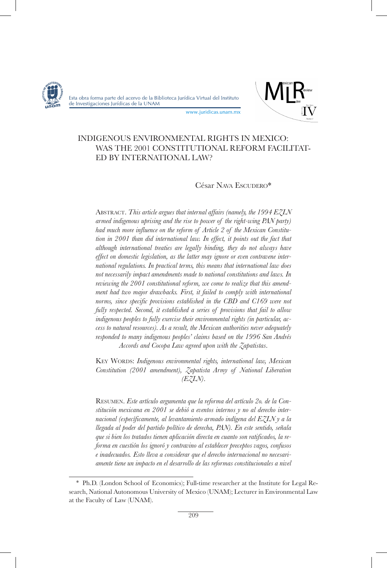



www.juridicas.unam.mx

# INDIGENOUS ENVIRONMENTAL RIGHTS IN MEXICO: WAS THE 2001 CONSTITUTIONAL REFORM FACILITAT-ED BY INTERNATIONAL LAW?

### César Nava Escudero\*

Abstract. *This article argues that internal affairs (namely, the 1994 EZLN armed indigenous uprising and the rise to power of the right-wing PAN party) had much more influence on the reform of Article 2 of the Mexican Constitution in 2001 than did international law. In effect, it points out the fact that although international treaties are legally binding, they do not always have effect on domestic legislation, as the latter may ignore or even contravene international regulations. In practical terms, this means that international law does not necessarily impact amendments made to national constitutions and laws. In reviewing the 2001 constitutional reform, we come to realize that this amendment had two major drawbacks. First, it failed to comply with international norms, since specific provisions established in the CBD and C169 were not fully respected. Second, it established a series of provisions that fail to allow indigenous peoples to fully exercise their environmental rights (in particular, access to natural resources). As a result, the Mexican authorities never adequately responded to many indigenous peoples' claims based on the 1996 San Andrés Accords and Cocopa Law agreed upon with the Zapatistas*.

KEY WORDS: *Indigenous environmental rights, international law, Mexican Constitution (2001 amendment), Zapatista Army of National Liberation (EZLN)*.

Resumen. *Este artículo argumenta que la reforma del artículo 2o. de la Constitución mexicana en 2001 se debió a eventos internos y no al derecho internacional (específicamente, al levantamiento armado indígena del EZLN y a la llegada al poder del partido político de derecha, PAN). En este sentido, señala que si bien los tratados tienen aplicación directa en cuanto son ratificados, la reforma en cuestión los ignoró y contravino al establecer preceptos vagos, confusos e inadecuados. Esto lleva a considerar que el derecho internacional no necesariamente tiene un impacto en el desarrollo de las reformas constitucionales a nivel* 

<sup>\*</sup> Ph.D. (London School of Economics); Full-time researcher at the Institute for Legal Research, National Autonomous University of Mexico (UNAM); Lecturer in Environmental Law at the Faculty of Law (UNAM).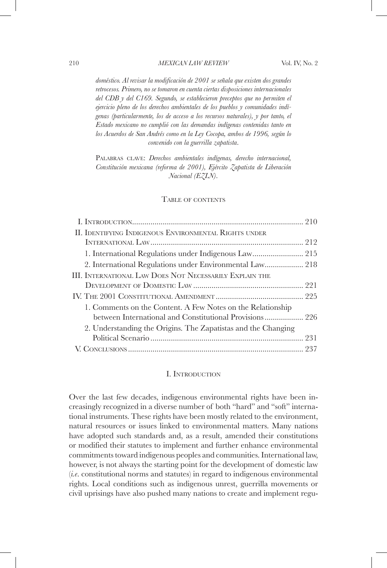*doméstico. Al revisar la modificación de 2001 se señala que existen dos grandes retrocesos. Primero, no se tomaron en cuenta ciertas disposiciones internacionales del CDB y del C169. Segundo, se establecieron preceptos que no permiten el ejercicio pleno de los derechos ambientales de los pueblos y comunidades indígenas (particularmente, los de acceso a los recursos naturales), y por tanto, el Estado mexicano no cumplió con las demandas indígenas contenidas tanto en los Acuerdos de San Andrés como en la Ley Cocopa, ambos de 1996, según lo convenido con la guerrilla zapatista*.

PALABRAS CLAVE: *Derechos ambientales indígenas, derecho internacional*, *Constitución mexicana (reforma de 2001), Ejército Zapatista de Liberación Nacional (EZLN)*.

#### TABLE OF CONTENTS

| II. IDENTIFYING INDIGENOUS ENVIRONMENTAL RIGHTS UNDER                                                                  |  |
|------------------------------------------------------------------------------------------------------------------------|--|
|                                                                                                                        |  |
|                                                                                                                        |  |
| 2. International Regulations under Environmental Law 218                                                               |  |
| III. INTERNATIONAL LAW DOES NOT NECESSARILY EXPLAIN THE                                                                |  |
|                                                                                                                        |  |
|                                                                                                                        |  |
| 1. Comments on the Content. A Few Notes on the Relationship<br>between International and Constitutional Provisions 226 |  |
| 2. Understanding the Origins. The Zapatistas and the Changing                                                          |  |
|                                                                                                                        |  |
|                                                                                                                        |  |

### I. Introduction

Over the last few decades, indigenous environmental rights have been increasingly recognized in a diverse number of both "hard" and "soft" international instruments. These rights have been mostly related to the environment, natural resources or issues linked to environmental matters. Many nations have adopted such standards and, as a result, amended their constitutions or modified their statutes to implement and further enhance environmental commitments toward indigenous peoples and communities. International law, however, is not always the starting point for the development of domestic law (*i.e*. constitutional norms and statutes) in regard to indigenous environmental rights. Local conditions such as indigenous unrest, guerrilla movements or civil uprisings have also pushed many nations to create and implement regu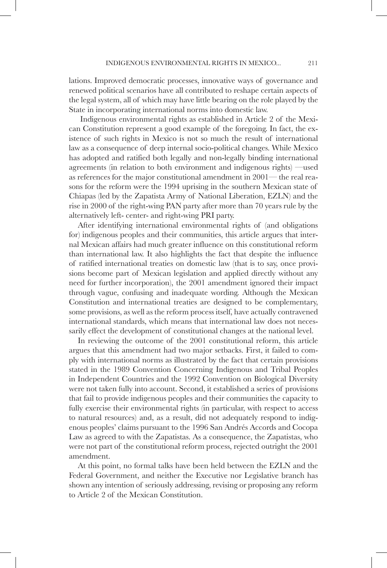lations. Improved democratic processes, innovative ways of governance and renewed political scenarios have all contributed to reshape certain aspects of the legal system, all of which may have little bearing on the role played by the State in incorporating international norms into domestic law.

 Indigenous environmental rights as established in Article 2 of the Mexican Constitution represent a good example of the foregoing. In fact, the existence of such rights in Mexico is not so much the result of international law as a consequence of deep internal socio-political changes. While Mexico has adopted and ratified both legally and non-legally binding international agreements (in relation to both environment and indigenous rights) —used as references for the major constitutional amendment in 2001— the real reasons for the reform were the 1994 uprising in the southern Mexican state of Chiapas (led by the Zapatista Army of National Liberation, EZLN) and the rise in 2000 of the right-wing PAN party after more than 70 years rule by the alternatively left- center- and right-wing PRI party.

After identifying international environmental rights of (and obligations for) indigenous peoples and their communities, this article argues that internal Mexican affairs had much greater influence on this constitutional reform than international law. It also highlights the fact that despite the influence of ratified international treaties on domestic law (that is to say, once provisions become part of Mexican legislation and applied directly without any need for further incorporation), the 2001 amendment ignored their impact through vague, confusing and inadequate wording. Although the Mexican Constitution and international treaties are designed to be complementary, some provisions, as well as the reform process itself, have actually contravened international standards, which means that international law does not necessarily effect the development of constitutional changes at the national level.

In reviewing the outcome of the 2001 constitutional reform, this article argues that this amendment had two major setbacks. First, it failed to comply with international norms as illustrated by the fact that certain provisions stated in the 1989 Convention Concerning Indigenous and Tribal Peoples in Independent Countries and the 1992 Convention on Biological Diversity were not taken fully into account. Second, it established a series of provisions that fail to provide indigenous peoples and their communities the capacity to fully exercise their environmental rights (in particular, with respect to access to natural resources) and, as a result, did not adequately respond to indigenous peoples' claims pursuant to the 1996 San Andrés Accords and Cocopa Law as agreed to with the Zapatistas. As a consequence, the Zapatistas, who were not part of the constitutional reform process, rejected outright the 2001 amendment.

At this point, no formal talks have been held between the EZLN and the Federal Government, and neither the Executive nor Legislative branch has shown any intention of seriously addressing, revising or proposing any reform to Article 2 of the Mexican Constitution.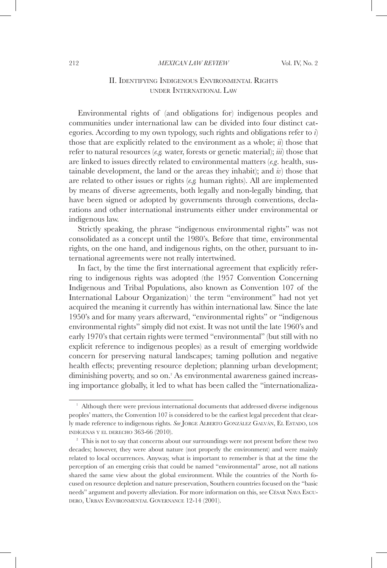#### 212 *MEXICAN LAW REVIEW* Vol. IV, No. 2

## II. Identifying Indigenous Environmental Rights under International Law

Environmental rights of (and obligations for) indigenous peoples and communities under international law can be divided into four distinct categories. According to my own typology, such rights and obligations refer to *i*) those that are explicitly related to the environment as a whole; *ii*) those that refer to natural resources (*e.g.* water, forests or genetic material); *iii*) those that are linked to issues directly related to environmental matters (*e.g*. health, sustainable development, the land or the areas they inhabit); and *iv*) those that are related to other issues or rights (*e.g.* human rights). All are implemented by means of diverse agreements, both legally and non-legally binding, that have been signed or adopted by governments through conventions, declarations and other international instruments either under environmental or indigenous law.

Strictly speaking, the phrase "indigenous environmental rights" was not consolidated as a concept until the 1980's. Before that time, environmental rights, on the one hand, and indigenous rights, on the other, pursuant to international agreements were not really intertwined.

In fact, by the time the first international agreement that explicitly referring to indigenous rights was adopted (the 1957 Convention Concerning Indigenous and Tribal Populations, also known as Convention 107 of the International Labour Organization)<sup>1</sup> the term "environment" had not yet acquired the meaning it currently has within international law. Since the late 1950's and for many years afterward, "environmental rights" or "indigenous environmental rights" simply did not exist. It was not until the late 1960's and early 1970's that certain rights were termed "environmental" (but still with no explicit reference to indigenous peoples) as a result of emerging worldwide concern for preserving natural landscapes; taming pollution and negative health effects; preventing resource depletion; planning urban development; diminishing poverty, and so on.<sup>2</sup> As environmental awareness gained increasing importance globally, it led to what has been called the "internationaliza-

 $1$  Although there were previous international documents that addressed diverse indigenous peoples' matters, the Convention 107 is considered to be the earliest legal precedent that clearly made reference to indigenous rights. See JORGE ALBERTO GONZÁLEZ GALVÁN, EL ESTADO, LOS INDÍGENAS Y EL DERECHO 363-66 (2010). <sup>2</sup> This is not to say that concerns about our surroundings were not present before these two

decades; however, they were about nature (not properly the environment) and were mainly related to local occurrences. Anyway, what is important to remember is that at the time the perception of an emerging crisis that could be named "environmental" arose, not all nations shared the same view about the global environment. While the countries of the North focused on resource depletion and nature preservation, Southern countries focused on the "basic needs" argument and poverty alleviation. For more information on this, see César Nava Escudero, Urban Environmental Governance 12-14 (2001).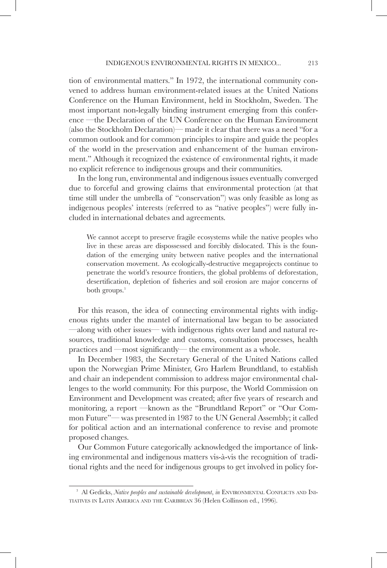tion of environmental matters." In 1972, the international community convened to address human environment-related issues at the United Nations Conference on the Human Environment, held in Stockholm, Sweden. The most important non-legally binding instrument emerging from this conference —the Declaration of the UN Conference on the Human Environment (also the Stockholm Declaration)— made it clear that there was a need "for a common outlook and for common principles to inspire and guide the peoples of the world in the preservation and enhancement of the human environment." Although it recognized the existence of environmental rights, it made no explicit reference to indigenous groups and their communities.

In the long run, environmental and indigenous issues eventually converged due to forceful and growing claims that environmental protection (at that time still under the umbrella of "conservation") was only feasible as long as indigenous peoples' interests (referred to as "native peoples") were fully included in international debates and agreements.

We cannot accept to preserve fragile ecosystems while the native peoples who live in these areas are dispossessed and forcibly dislocated. This is the foundation of the emerging unity between native peoples and the international conservation movement. As ecologically-destructive megaprojects continue to penetrate the world's resource frontiers, the global problems of deforestation, desertification, depletion of fisheries and soil erosion are major concerns of both groups.<sup>3</sup>

For this reason, the idea of connecting environmental rights with indigenous rights under the mantel of international law began to be associated —along with other issues— with indigenous rights over land and natural resources, traditional knowledge and customs, consultation processes, health practices and —most significantly— the environment as a whole.

In December 1983, the Secretary General of the United Nations called upon the Norwegian Prime Minister, Gro Harlem Brundtland, to establish and chair an independent commission to address major environmental challenges to the world community. For this purpose, the World Commission on Environment and Development was created; after five years of research and monitoring, a report —known as the "Brundtland Report" or "Our Common Future"— was presented in 1987 to the UN General Assembly; it called for political action and an international conference to revise and promote proposed changes.

Our Common Future categorically acknowledged the importance of linking environmental and indigenous matters vis-à-vis the recognition of traditional rights and the need for indigenous groups to get involved in policy for-

<sup>&</sup>lt;sup>3</sup> Al Gedicks, *Native peoples and sustainable development*, *in* ENVIRONMENTAL CONFLICTS AND INItiatives in Latin America and the Caribbean 36 (Helen Collinson ed., 1996).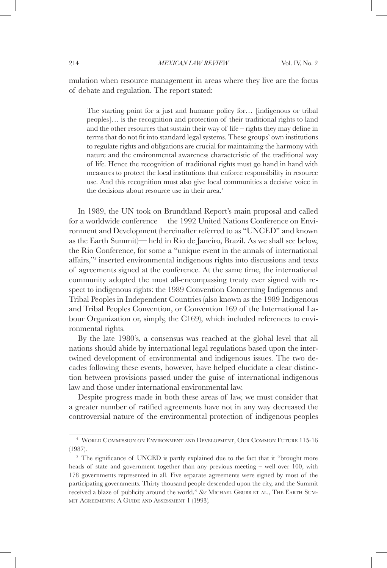mulation when resource management in areas where they live are the focus of debate and regulation. The report stated:

The starting point for a just and humane policy for… [indigenous or tribal peoples]… is the recognition and protection of their traditional rights to land and the other resources that sustain their way of life – rights they may define in terms that do not fit into standard legal systems. These groups' own institutions to regulate rights and obligations are crucial for maintaining the harmony with nature and the environmental awareness characteristic of the traditional way of life. Hence the recognition of traditional rights must go hand in hand with measures to protect the local institutions that enforce responsibility in resource use. And this recognition must also give local communities a decisive voice in the decisions about resource use in their area.<sup>4</sup>

In 1989, the UN took on Brundtland Report's main proposal and called for a worldwide conference —the 1992 United Nations Conference on Environment and Development (hereinafter referred to as "UNCED" and known as the Earth Summit)— held in Rio de Janeiro, Brazil. As we shall see below, the Rio Conference, for some a "unique event in the annals of international affairs,"5 inserted environmental indigenous rights into discussions and texts of agreements signed at the conference. At the same time, the international community adopted the most all-encompassing treaty ever signed with respect to indigenous rights: the 1989 Convention Concerning Indigenous and Tribal Peoples in Independent Countries (also known as the 1989 Indigenous and Tribal Peoples Convention, or Convention 169 of the International Labour Organization or, simply, the C169), which included references to environmental rights.

By the late 1980's, a consensus was reached at the global level that all nations should abide by international legal regulations based upon the intertwined development of environmental and indigenous issues. The two decades following these events, however, have helped elucidate a clear distinction between provisions passed under the guise of international indigenous law and those under international environmental law.

Despite progress made in both these areas of law, we must consider that a greater number of ratified agreements have not in any way decreased the controversial nature of the environmental protection of indigenous peoples

<sup>4</sup> World Commission on Environment and Development, Our Common Future 115-16 (1987).

<sup>&</sup>lt;sup>5</sup> The significance of UNCED is partly explained due to the fact that it "brought more heads of state and government together than any previous meeting – well over 100, with 178 governments represented in all. Five separate agreements were signed by most of the participating governments. Thirty thousand people descended upon the city, and the Summit received a blaze of publicity around the world." *See* Michael Grubb et al., The Earth Summit Agreements: A Guide and Assessment 1 (1993)*.*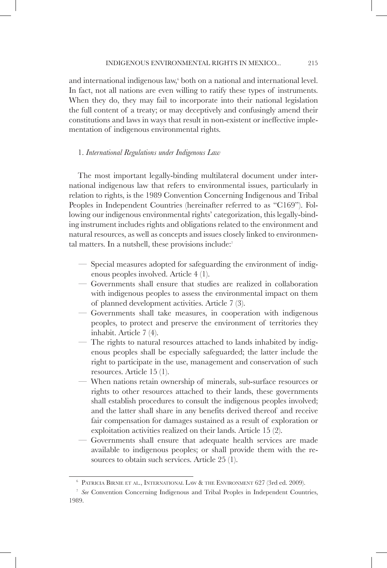and international indigenous law,<sup>6</sup> both on a national and international level. In fact, not all nations are even willing to ratify these types of instruments. When they do, they may fail to incorporate into their national legislation the full content of a treaty; or may deceptively and confusingly amend their constitutions and laws in ways that result in non-existent or ineffective implementation of indigenous environmental rights.

### 1. *International Regulations under Indigenous Law*

The most important legally-binding multilateral document under international indigenous law that refers to environmental issues, particularly in relation to rights, is the 1989 Convention Concerning Indigenous and Tribal Peoples in Independent Countries (hereinafter referred to as "C169"). Following our indigenous environmental rights' categorization, this legally-binding instrument includes rights and obligations related to the environment and natural resources, as well as concepts and issues closely linked to environmental matters. In a nutshell, these provisions include:<sup>7</sup>

- Special measures adopted for safeguarding the environment of indigenous peoples involved. Article 4 (1).
- Governments shall ensure that studies are realized in collaboration with indigenous peoples to assess the environmental impact on them of planned development activities. Article 7 (3).
- Governments shall take measures, in cooperation with indigenous peoples, to protect and preserve the environment of territories they inhabit. Article 7 (4).
- The rights to natural resources attached to lands inhabited by indigenous peoples shall be especially safeguarded; the latter include the right to participate in the use, management and conservation of such resources. Article 15 (1).
- When nations retain ownership of minerals, sub-surface resources or rights to other resources attached to their lands, these governments shall establish procedures to consult the indigenous peoples involved; and the latter shall share in any benefits derived thereof and receive fair compensation for damages sustained as a result of exploration or exploitation activities realized on their lands. Article 15 (2).
- Governments shall ensure that adequate health services are made available to indigenous peoples; or shall provide them with the resources to obtain such services. Article 25 (1).

<sup>6</sup> Patricia Birnie et al., International Law & the Environment 627 (3rd ed. 2009).

<sup>7</sup> *See* Convention Concerning Indigenous and Tribal Peoples in Independent Countries, 1989.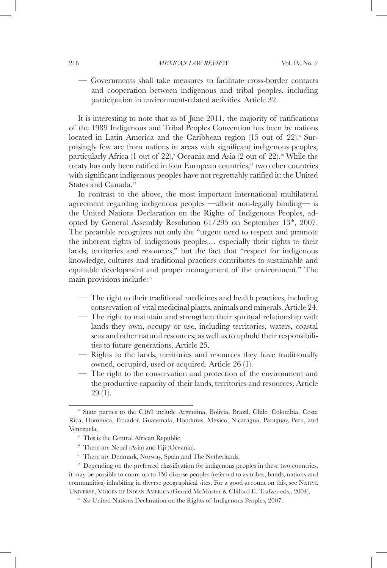— Governments shall take measures to facilitate cross-border contacts and cooperation between indigenous and tribal peoples, including participation in environment-related activities. Article 32.

It is interesting to note that as of June 2011, the majority of ratifications of the 1989 Indigenous and Tribal Peoples Convention has been by nations located in Latin America and the Caribbean region (15 out of 22).<sup>8</sup> Surprisingly few are from nations in areas with significant indigenous peoples, particularly Africa (1 out of 22),<sup>9</sup> Oceania and Asia (2 out of 22).<sup>10</sup> While the treaty has only been ratified in four European countries,<sup>11</sup> two other countries with significant indigenous peoples have not regrettably ratified it: the United States and Canada.<sup>12</sup>

In contrast to the above, the most important international multilateral agreement regarding indigenous peoples —albeit non-legally binding— is the United Nations Declaration on the Rights of Indigenous Peoples, adopted by General Assembly Resolution 61/295 on September 13th, 2007. The preamble recognizes not only the "urgent need to respect and promote the inherent rights of indigenous peoples… especially their rights to their lands, territories and resources," but the fact that "respect for indigenous knowledge, cultures and traditional practices contributes to sustainable and equitable development and proper management of the environment." The main provisions include:13

- The right to their traditional medicines and health practices, including conservation of vital medicinal plants, animals and minerals. Article 24.
- The right to maintain and strengthen their spiritual relationship with lands they own, occupy or use, including territories, waters, coastal seas and other natural resources; as well as to uphold their responsibilities to future generations. Article 25.
- Rights to the lands, territories and resources they have traditionally owned, occupied, used or acquired. Article 26 (1).
- The right to the conservation and protection of the environment and the productive capacity of their lands, territories and resources. Article 29 (1).

<sup>10</sup> These are Nepal (Asia) and Fiji (Oceania).

<sup>8</sup> State parties to the C169 include Argentina, Bolivia, Brazil, Chile, Colombia, Costa Rica, Dominica, Ecuador, Guatemala, Honduras, Mexico, Nicaragua, Paraguay, Peru, and Venezuela.

<sup>&</sup>lt;sup>9</sup> This is the Central African Republic.

<sup>&</sup>lt;sup>11</sup> These are Denmark, Norway, Spain and The Netherlands.

<sup>&</sup>lt;sup>12</sup> Depending on the preferred classification for indigenous peoples in these two countries, it may be possible to count up to 150 diverse peoples (referred to as tribes, bands, nations and communities) inhabiting in diverse geographical sites. For a good account on this, see NATIVE Universe, Voices of Indian America (Gerald McMaster & Clifford E. Trafzer eds., 2004). 13 *See* United Nations Declaration on the Rights of Indigenous Peoples, 2007.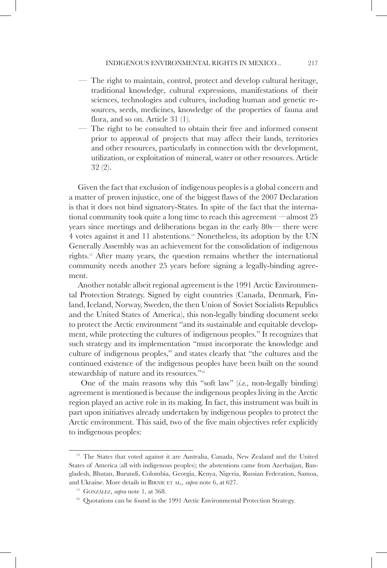- The right to maintain, control, protect and develop cultural heritage, traditional knowledge, cultural expressions, manifestations of their sciences, technologies and cultures, including human and genetic resources, seeds, medicines, knowledge of the properties of fauna and flora, and so on. Article 31 (1).
- The right to be consulted to obtain their free and informed consent prior to approval of projects that may affect their lands, territories and other resources, particularly in connection with the development, utilization, or exploitation of mineral, water or other resources. Article 32 (2).

Given the fact that exclusion of indigenous peoples is a global concern and a matter of proven injustice, one of the biggest flaws of the 2007 Declaration is that it does not bind signatory-States. In spite of the fact that the international community took quite a long time to reach this agreement —almost 25 years since meetings and deliberations began in the early 80s— there were 4 votes against it and 11 abstentions.14 Nonetheless, its adoption by the UN Generally Assembly was an achievement for the consolidation of indigenous rights.15 After many years, the question remains whether the international community needs another 25 years before signing a legally-binding agreement.

Another notable albeit regional agreement is the 1991 Arctic Environmental Protection Strategy. Signed by eight countries (Canada, Denmark, Finland, Iceland, Norway, Sweden, the then Union of Soviet Socialists Republics and the United States of America), this non-legally binding document seeks to protect the Arctic environment "and its sustainable and equitable development, while protecting the cultures of indigenous peoples." It recognizes that such strategy and its implementation "must incorporate the knowledge and culture of indigenous peoples," and states clearly that "the cultures and the continued existence of the indigenous peoples have been built on the sound stewardship of nature and its resources."16

 One of the main reasons why this "soft law" (*i.e.*, non-legally binding) agreement is mentioned is because the indigenous peoples living in the Arctic region played an active role in its making. In fact, this instrument was built in part upon initiatives already undertaken by indigenous peoples to protect the Arctic environment. This said, two of the five main objectives refer explicitly to indigenous peoples:

<sup>&</sup>lt;sup>14</sup> The States that voted against it are Australia, Canada, New Zealand and the United States of America (all with indigenous peoples); the abstentions came from Azerbaijan, Bangladesh, Bhutan, Burundi, Colombia, Georgia, Kenya, Nigeria, Russian Federation, Samoa, and Ukraine. More details in Birnie et al*., supra* note 6, at 627.

<sup>&</sup>lt;sup>15</sup> GONZÁLEZ, *supra* note 1, at 368.

<sup>&</sup>lt;sup>16</sup> Quotations can be found in the 1991 Arctic Environmental Protection Strategy.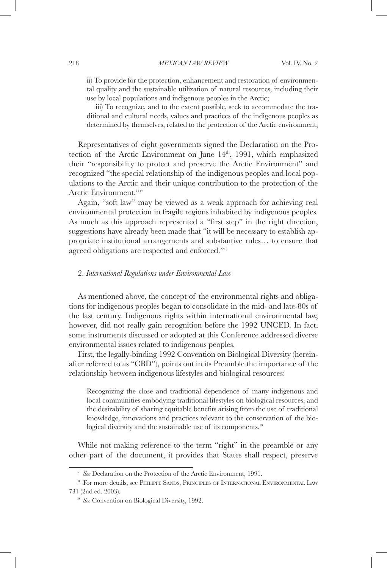ii) To provide for the protection, enhancement and restoration of environmental quality and the sustainable utilization of natural resources, including their use by local populations and indigenous peoples in the Arctic;

iii) To recognize, and to the extent possible, seek to accommodate the traditional and cultural needs, values and practices of the indigenous peoples as determined by themselves, related to the protection of the Arctic environment;

Representatives of eight governments signed the Declaration on the Protection of the Arctic Environment on June 14<sup>th</sup>, 1991, which emphasized their "responsibility to protect and preserve the Arctic Environment" and recognized "the special relationship of the indigenous peoples and local populations to the Arctic and their unique contribution to the protection of the Arctic Environment."17

Again, "soft law" may be viewed as a weak approach for achieving real environmental protection in fragile regions inhabited by indigenous peoples. As much as this approach represented a "first step" in the right direction, suggestions have already been made that "it will be necessary to establish appropriate institutional arrangements and substantive rules… to ensure that agreed obligations are respected and enforced."18

### 2. *International Regulations under Environmental Law*

As mentioned above, the concept of the environmental rights and obligations for indigenous peoples began to consolidate in the mid- and late-80s of the last century. Indigenous rights within international environmental law, however, did not really gain recognition before the 1992 UNCED. In fact, some instruments discussed or adopted at this Conference addressed diverse environmental issues related to indigenous peoples.

First, the legally-binding 1992 Convention on Biological Diversity (hereinafter referred to as "CBD"), points out in its Preamble the importance of the relationship between indigenous lifestyles and biological resources:

Recognizing the close and traditional dependence of many indigenous and local communities embodying traditional lifestyles on biological resources, and the desirability of sharing equitable benefits arising from the use of traditional knowledge, innovations and practices relevant to the conservation of the biological diversity and the sustainable use of its components.<sup>19</sup>

While not making reference to the term "right" in the preamble or any other part of the document, it provides that States shall respect, preserve

<sup>&</sup>lt;sup>17</sup> *See* Declaration on the Protection of the Arctic Environment, 1991.

<sup>&</sup>lt;sup>18</sup> For more details, see PHILIPPE SANDS, PRINCIPLES OF INTERNATIONAL ENVIRONMENTAL LAW 731 (2nd ed. 2003).

<sup>&</sup>lt;sup>19</sup> *See* Convention on Biological Diversity, 1992.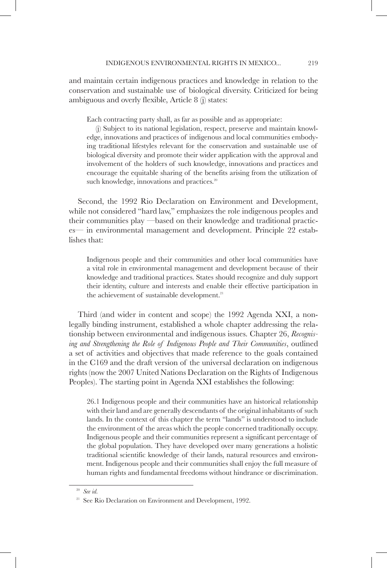and maintain certain indigenous practices and knowledge in relation to the conservation and sustainable use of biological diversity. Criticized for being ambiguous and overly flexible, Article 8 (j) states:

Each contracting party shall, as far as possible and as appropriate:

(j) Subject to its national legislation, respect, preserve and maintain knowledge, innovations and practices of indigenous and local communities embodying traditional lifestyles relevant for the conservation and sustainable use of biological diversity and promote their wider application with the approval and involvement of the holders of such knowledge, innovations and practices and encourage the equitable sharing of the benefits arising from the utilization of such knowledge, innovations and practices.<sup>20</sup>

Second, the 1992 Rio Declaration on Environment and Development, while not considered "hard law," emphasizes the role indigenous peoples and their communities play —based on their knowledge and traditional practices— in environmental management and development. Principle 22 establishes that:

Indigenous people and their communities and other local communities have a vital role in environmental management and development because of their knowledge and traditional practices. States should recognize and duly support their identity, culture and interests and enable their effective participation in the achievement of sustainable development.<sup>21</sup>

Third (and wider in content and scope) the 1992 Agenda XXI, a nonlegally binding instrument, established a whole chapter addressing the relationship between environmental and indigenous issues. Chapter 26, *Recognising and Strengthening the Role of Indigenous People and Their Communities*, outlined a set of activities and objectives that made reference to the goals contained in the C169 and the draft version of the universal declaration on indigenous rights (now the 2007 United Nations Declaration on the Rights of Indigenous Peoples). The starting point in Agenda XXI establishes the following:

26.1 Indigenous people and their communities have an historical relationship with their land and are generally descendants of the original inhabitants of such lands. In the context of this chapter the term "lands" is understood to include the environment of the areas which the people concerned traditionally occupy. Indigenous people and their communities represent a significant percentage of the global population. They have developed over many generations a holistic traditional scientific knowledge of their lands, natural resources and environment. Indigenous people and their communities shall enjoy the full measure of human rights and fundamental freedoms without hindrance or discrimination.

<sup>20</sup> *See id.*

<sup>&</sup>lt;sup>21</sup> See Rio Declaration on Environment and Development, 1992.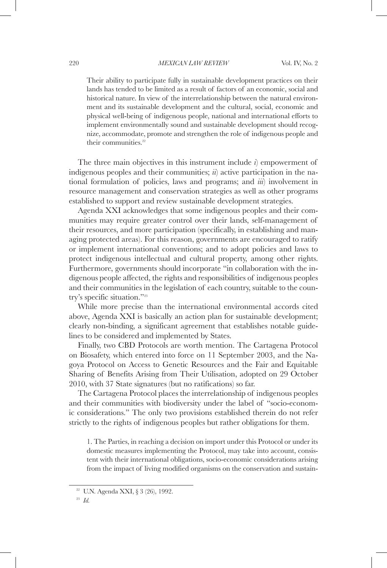Their ability to participate fully in sustainable development practices on their lands has tended to be limited as a result of factors of an economic, social and historical nature. In view of the interrelationship between the natural environment and its sustainable development and the cultural, social, economic and physical well-being of indigenous people, national and international efforts to implement environmentally sound and sustainable development should recognize, accommodate, promote and strengthen the role of indigenous people and their communities.<sup>22</sup>

The three main objectives in this instrument include *i*) empowerment of indigenous peoples and their communities; *ii*) active participation in the national formulation of policies, laws and programs; and *iii*) involvement in resource management and conservation strategies as well as other programs established to support and review sustainable development strategies.

Agenda XXI acknowledges that some indigenous peoples and their communities may require greater control over their lands, self-management of their resources, and more participation (specifically, in establishing and managing protected areas). For this reason, governments are encouraged to ratify or implement international conventions; and to adopt policies and laws to protect indigenous intellectual and cultural property, among other rights. Furthermore, governments should incorporate "in collaboration with the indigenous people affected, the rights and responsibilities of indigenous peoples and their communities in the legislation of each country, suitable to the country's specific situation."23

While more precise than the international environmental accords cited above, Agenda XXI is basically an action plan for sustainable development; clearly non-binding, a significant agreement that establishes notable guidelines to be considered and implemented by States.

Finally, two CBD Protocols are worth mention. The Cartagena Protocol on Biosafety, which entered into force on 11 September 2003, and the Nagoya Protocol on Access to Genetic Resources and the Fair and Equitable Sharing of Benefits Arising from Their Utilisation, adopted on 29 October 2010, with 37 State signatures (but no ratifications) so far.

The Cartagena Protocol places the interrelationship of indigenous peoples and their communities with biodiversity under the label of "socio-economic considerations." The only two provisions established therein do not refer strictly to the rights of indigenous peoples but rather obligations for them.

1. The Parties, in reaching a decision on import under this Protocol or under its domestic measures implementing the Protocol, may take into account, consistent with their international obligations, socio-economic considerations arising from the impact of living modified organisms on the conservation and sustain-

<sup>22</sup> U.N. Agenda XXI, § 3 (26), 1992.

<sup>23</sup> *Id.*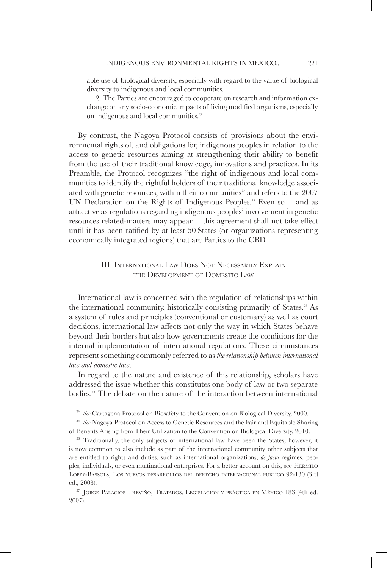able use of biological diversity, especially with regard to the value of biological diversity to indigenous and local communities.

2. The Parties are encouraged to cooperate on research and information exchange on any socio-economic impacts of living modified organisms, especially on indigenous and local communities.<sup>24</sup>

By contrast, the Nagoya Protocol consists of provisions about the environmental rights of, and obligations for, indigenous peoples in relation to the access to genetic resources aiming at strengthening their ability to benefit from the use of their traditional knowledge, innovations and practices. In its Preamble, the Protocol recognizes "the right of indigenous and local communities to identify the rightful holders of their traditional knowledge associated with genetic resources, within their communities" and refers to the 2007 UN Declaration on the Rights of Indigenous Peoples.<sup>25</sup> Even so —and as attractive as regulations regarding indigenous peoples' involvement in genetic resources related-matters may appear— this agreement shall not take effect until it has been ratified by at least 50 States (or organizations representing economically integrated regions) that are Parties to the CBD.

## III. International Law Does Not Necessarily Explain the Development of Domestic Law

International law is concerned with the regulation of relationships within the international community, historically consisting primarily of States.<sup>26</sup> As a system of rules and principles (conventional or customary) as well as court decisions, international law affects not only the way in which States behave beyond their borders but also how governments create the conditions for the internal implementation of international regulations. These circumstances represent something commonly referred to as *the relationship between international law and domestic law*.

In regard to the nature and existence of this relationship, scholars have addressed the issue whether this constitutes one body of law or two separate bodies.<sup>27</sup> The debate on the nature of the interaction between international

<sup>24</sup> *See* Cartagena Protocol on Biosafety to the Convention on Biological Diversity, 2000.

<sup>25</sup> *See* Nagoya Protocol on Access to Genetic Resources and the Fair and Equitable Sharing of Benefits Arising from Their Utilization to the Convention on Biological Diversity, 2010.

<sup>&</sup>lt;sup>26</sup> Traditionally, the only subjects of international law have been the States; however, it is now common to also include as part of the international community other subjects that are entitled to rights and duties, such as international organizations, *de facto* regimes, peoples, individuals, or even multinational enterprises. For a better account on this, see Hermilo López-Bassols, Los nuevos desarrollos del derecho internacional público 92-130 (3rd ed., 2008).<br><sup>27</sup> Jorge Palacios Treviño, Tratados. Legislación y práctica en México 183 (4th ed.

<sup>2007).</sup>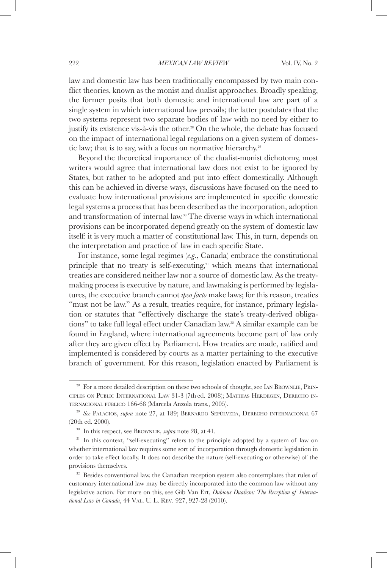law and domestic law has been traditionally encompassed by two main conflict theories, known as the monist and dualist approaches. Broadly speaking, the former posits that both domestic and international law are part of a single system in which international law prevails; the latter postulates that the two systems represent two separate bodies of law with no need by either to justify its existence vis-à-vis the other.<sup>28</sup> On the whole, the debate has focused on the impact of international legal regulations on a given system of domestic law; that is to say, with a focus on normative hierarchy.<sup>29</sup>

Beyond the theoretical importance of the dualist-monist dichotomy, most writers would agree that international law does not exist to be ignored by States, but rather to be adopted and put into effect domestically. Although this can be achieved in diverse ways, discussions have focused on the need to evaluate how international provisions are implemented in specific domestic legal systems a process that has been described as the incorporation, adoption and transformation of internal law.<sup>30</sup> The diverse ways in which international provisions can be incorporated depend greatly on the system of domestic law itself: it is very much a matter of constitutional law. This, in turn, depends on the interpretation and practice of law in each specific State.

For instance, some legal regimes (*e.g*., Canada) embrace the constitutional principle that no treaty is self-executing,<sup>31</sup> which means that international treaties are considered neither law nor a source of domestic law. As the treatymaking process is executive by nature, and lawmaking is performed by legislatures, the executive branch cannot *ipso facto* make laws; for this reason, treaties "must not be law." As a result, treaties require, for instance, primary legislation or statutes that "effectively discharge the state's treaty-derived obligations" to take full legal effect under Canadian law.<sup>32</sup> A similar example can be found in England, where international agreements become part of law only after they are given effect by Parliament. How treaties are made, ratified and implemented is considered by courts as a matter pertaining to the executive branch of government. For this reason, legislation enacted by Parliament is

<sup>&</sup>lt;sup>28</sup> For a more detailed description on these two schools of thought, see IAN BROWNLIE, PRINciples on Public International Law 31-3 (7th ed. 2008); Mathias Herdegen, Derecho internacional público 166-68 (Marcela Anzola trans., 2005). 29 *See* Palacios, *supra* note 27, at 189; Bernardo Sepúlveda, Derecho internacional<sup>67</sup>

<sup>(20</sup>th ed. 2000).

<sup>&</sup>lt;sup>30</sup> In this respect, see BROWNLIE, *supra* note 28, at 41.<br><sup>31</sup> In this context, "self-executing" refers to the principle adopted by a system of law on whether international law requires some sort of incorporation through domestic legislation in order to take effect locally. It does not describe the nature (self-executing or otherwise) of the provisions themselves.

<sup>&</sup>lt;sup>32</sup> Besides conventional law, the Canadian reception system also contemplates that rules of customary international law may be directly incorporated into the common law without any legislative action. For more on this, see Gib Van Ert, *Dubious Dualism: The Reception of International Law in Canada*, 44 Val. U. L. Rev. 927, 927-28 (2010).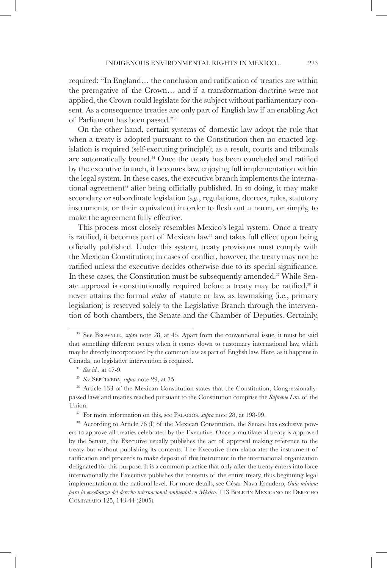required: "In England… the conclusion and ratification of treaties are within the prerogative of the Crown… and if a transformation doctrine were not applied, the Crown could legislate for the subject without parliamentary consent. As a consequence treaties are only part of English law if an enabling Act of Parliament has been passed."33

On the other hand, certain systems of domestic law adopt the rule that when a treaty is adopted pursuant to the Constitution then no enacted legislation is required (self-executing principle); as a result, courts and tribunals are automatically bound.<sup>34</sup> Once the treaty has been concluded and ratified by the executive branch, it becomes law, enjoying full implementation within the legal system. In these cases, the executive branch implements the international agreement<sup>35</sup> after being officially published. In so doing, it may make secondary or subordinate legislation (*e.g*., regulations, decrees, rules, statutory instruments, or their equivalent) in order to flesh out a norm, or simply, to make the agreement fully effective.

This process most closely resembles Mexico's legal system. Once a treaty is ratified, it becomes part of Mexican law<sup>36</sup> and takes full effect upon being officially published. Under this system, treaty provisions must comply with the Mexican Constitution; in cases of conflict, however, the treaty may not be ratified unless the executive decides otherwise due to its special significance. In these cases, the Constitution must be subsequently amended.<sup>37</sup> While Senate approval is constitutionally required before a treaty may be ratified,<sup>38</sup> it never attains the formal *status* of statute or law, as lawmaking (i.e., primary legislation) is reserved solely to the Legislative Branch through the intervention of both chambers, the Senate and the Chamber of Deputies. Certainly,

<sup>&</sup>lt;sup>33</sup> See BROWNLIE, *supra* note 28, at 45. Apart from the conventional issue, it must be said that something different occurs when it comes down to customary international law, which may be directly incorporated by the common law as part of English law. Here, as it happens in Canada, no legislative intervention is required.

<sup>34</sup> *See id.*, at 47-9.

<sup>35</sup> *See* Sepúlveda, *supra* note 29, at 75.

<sup>&</sup>lt;sup>36</sup> Article 133 of the Mexican Constitution states that the Constitution, Congressionallypassed laws and treaties reached pursuant to the Constitution comprise the *Supreme Law* of the Union.

<sup>&</sup>lt;sup>37</sup> For more information on this, see PALACIOS, *supra* note 28, at 198-99.

<sup>&</sup>lt;sup>38</sup> According to Article 76 (I) of the Mexican Constitution, the Senate has exclusive powers to approve all treaties celebrated by the Executive. Once a multilateral treaty is approved by the Senate, the Executive usually publishes the act of approval making reference to the treaty but without publishing its contents. The Executive then elaborates the instrument of ratification and proceeds to make deposit of this instrument in the international organization designated for this purpose. It is a common practice that only after the treaty enters into force internationally the Executive publishes the contents of the entire treaty, thus beginning legal implementation at the national level. For more details, see César Nava Escudero, *Guía mínima para la enseñanza del derecho internacional ambiental en México*, 113 Boletín Mexicano de Derecho Comparado 125, 143-44 (2005).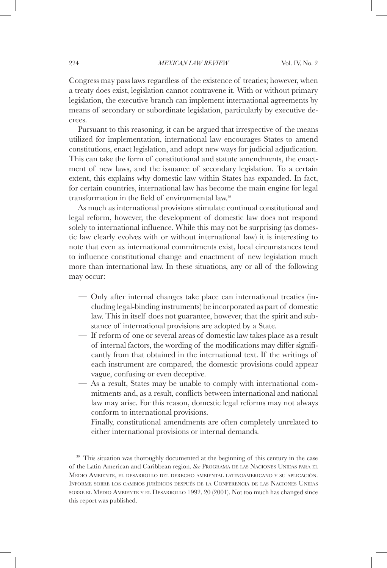Congress may pass laws regardless of the existence of treaties; however, when a treaty does exist, legislation cannot contravene it. With or without primary legislation, the executive branch can implement international agreements by means of secondary or subordinate legislation, particularly by executive decrees.

Pursuant to this reasoning, it can be argued that irrespective of the means utilized for implementation, international law encourages States to amend constitutions, enact legislation, and adopt new ways for judicial adjudication. This can take the form of constitutional and statute amendments, the enactment of new laws, and the issuance of secondary legislation. To a certain extent, this explains why domestic law within States has expanded. In fact, for certain countries, international law has become the main engine for legal transformation in the field of environmental law.39

As much as international provisions stimulate continual constitutional and legal reform, however, the development of domestic law does not respond solely to international influence. While this may not be surprising (as domestic law clearly evolves with or without international law) it is interesting to note that even as international commitments exist, local circumstances tend to influence constitutional change and enactment of new legislation much more than international law. In these situations, any or all of the following may occur:

- Only after internal changes take place can international treaties (including legal-binding instruments) be incorporated as part of domestic law. This in itself does not guarantee, however, that the spirit and substance of international provisions are adopted by a State.
- If reform of one or several areas of domestic law takes place as a result of internal factors, the wording of the modifications may differ significantly from that obtained in the international text. If the writings of each instrument are compared, the domestic provisions could appear vague, confusing or even deceptive.
- As a result, States may be unable to comply with international commitments and, as a result, conflicts between international and national law may arise. For this reason, domestic legal reforms may not always conform to international provisions.
- Finally, constitutional amendments are often completely unrelated to either international provisions or internal demands.

<sup>&</sup>lt;sup>39</sup> This situation was thoroughly documented at the beginning of this century in the case of the Latin American and Caribbean region. *See* Programa de las Naciones Unidas para el Medio Ambiente, el desarrollo del derecho ambiental latinoamericano <sup>y</sup> su aplicación. Informe sobre los cambios jurídicos después de la Conferencia de las Naciones Unidas sobre el Medio Ambiente y el Desarrollo 1992, 20 (2001). Not too much has changed since this report was published.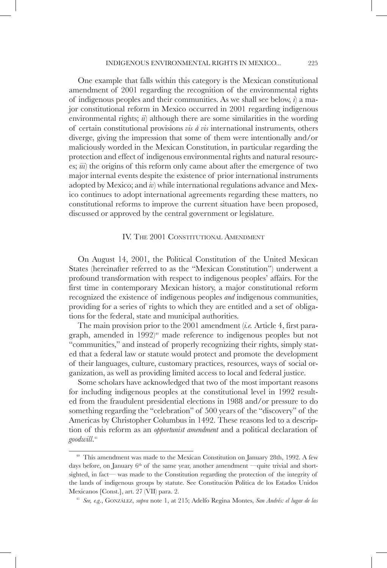One example that falls within this category is the Mexican constitutional amendment of 2001 regarding the recognition of the environmental rights of indigenous peoples and their communities. As we shall see below, *i*) a major constitutional reform in Mexico occurred in 2001 regarding indigenous environmental rights; *ii*) although there are some similarities in the wording of certain constitutional provisions *vis à vis* international instruments, others diverge, giving the impression that some of them were intentionally and/or maliciously worded in the Mexican Constitution, in particular regarding the protection and effect of indigenous environmental rights and natural resources; *iii*) the origins of this reform only came about after the emergence of two major internal events despite the existence of prior international instruments adopted by Mexico; and *iv*) while international regulations advance and Mexico continues to adopt international agreements regarding these matters, no constitutional reforms to improve the current situation have been proposed, discussed or approved by the central government or legislature.

### IV. THE 2001 CONSTITUTIONAL AMENDMENT

On August 14, 2001, the Political Constitution of the United Mexican States (hereinafter referred to as the "Mexican Constitution") underwent a profound transformation with respect to indigenous peoples' affairs. For the first time in contemporary Mexican history, a major constitutional reform recognized the existence of indigenous peoples *and* indigenous communities, providing for a series of rights to which they are entitled and a set of obligations for the federal, state and municipal authorities.

The main provision prior to the 2001 amendment (*i.e.* Article 4, first paragraph, amended in  $1992$ <sup>40</sup> made reference to indigenous peoples but not "communities," and instead of properly recognizing their rights, simply stated that a federal law or statute would protect and promote the development of their languages, culture, customary practices, resources, ways of social organization, as well as providing limited access to local and federal justice.

Some scholars have acknowledged that two of the most important reasons for including indigenous peoples at the constitutional level in 1992 resulted from the fraudulent presidential elections in 1988 and/or pressure to do something regarding the "celebration" of 500 years of the "discovery" of the Americas by Christopher Columbus in 1492. These reasons led to a description of this reform as an *opportunist amendment* and a political declaration of *goodwill*. 41

<sup>&</sup>lt;sup>40</sup> This amendment was made to the Mexican Constitution on January 28th, 1992. A few days before, on January  $6<sup>th</sup>$  of the same year, another amendment —quite trivial and shortsighted, in fact— was made to the Constitution regarding the protection of the integrity of the lands of indigenous groups by statute. See Constitución Política de los Estados Unidos Mexicanos [Const.], art. 27 (VII) para. 2.

<sup>41</sup> *See, e.g*., González, *supra* note 1, at 215; Adelfo Regina Montes, *San Andrés: el lugar de las*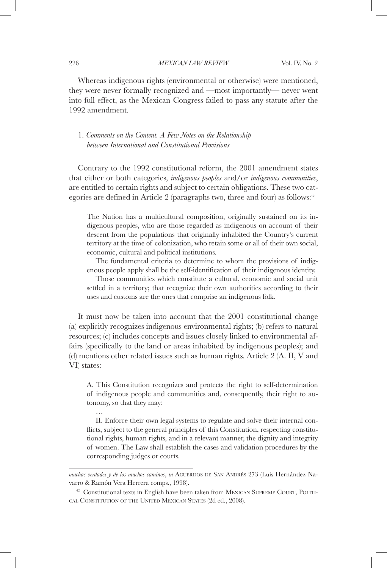Whereas indigenous rights (environmental or otherwise) were mentioned, they were never formally recognized and —most importantly— never went into full effect, as the Mexican Congress failed to pass any statute after the 1992 amendment.

## 1. *Comments on the Content. A Few Notes on the Relationship between International and Constitutional Provisions*

Contrary to the 1992 constitutional reform, the 2001 amendment states that either or both categories, *indigenous peoples* and/or *indigenous communities*, are entitled to certain rights and subject to certain obligations. These two categories are defined in Article 2 (paragraphs two, three and four) as follows: $42$ 

The Nation has a multicultural composition, originally sustained on its indigenous peoples, who are those regarded as indigenous on account of their descent from the populations that originally inhabited the Country's current territory at the time of colonization, who retain some or all of their own social, economic, cultural and political institutions.

The fundamental criteria to determine to whom the provisions of indigenous people apply shall be the self-identification of their indigenous identity.

Those communities which constitute a cultural, economic and social unit settled in a territory; that recognize their own authorities according to their uses and customs are the ones that comprise an indigenous folk.

It must now be taken into account that the 2001 constitutional change (a) explicitly recognizes indigenous environmental rights; (b) refers to natural resources; (c) includes concepts and issues closely linked to environmental affairs (specifically to the land or areas inhabited by indigenous peoples); and (d) mentions other related issues such as human rights. Article 2 (A. II, V and VI) states:

A. This Constitution recognizes and protects the right to self-determination of indigenous people and communities and, consequently, their right to autonomy, so that they may:

II. Enforce their own legal systems to regulate and solve their internal conflicts, subject to the general principles of this Constitution, respecting constitutional rights, human rights, and in a relevant manner, the dignity and integrity of women. The Law shall establish the cases and validation procedures by the corresponding judges or courts.

…

*muchas verdades y de los muchos caminos*, *in* ACUERDOS DE SAN ANDRÉS 273 (Luis Hernández Navarro & Ramón Vera Herrera comps., 1998).

<sup>&</sup>lt;sup>42</sup> Constitutional texts in English have been taken from MEXICAN SUPREME COURT, POLITIcal Constitution of the United Mexican States (2d ed., 2008).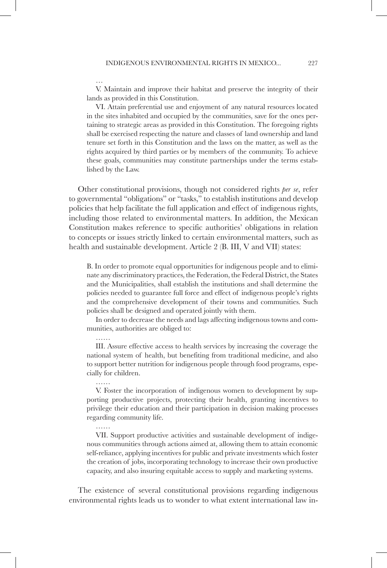…

……

……

V. Maintain and improve their habitat and preserve the integrity of their lands as provided in this Constitution.

VI. Attain preferential use and enjoyment of any natural resources located in the sites inhabited and occupied by the communities, save for the ones pertaining to strategic areas as provided in this Constitution. The foregoing rights shall be exercised respecting the nature and classes of land ownership and land tenure set forth in this Constitution and the laws on the matter, as well as the rights acquired by third parties or by members of the community. To achieve these goals, communities may constitute partnerships under the terms established by the Law.

Other constitutional provisions, though not considered rights *per se*, refer to governmental "obligations" or "tasks," to establish institutions and develop policies that help facilitate the full application and effect of indigenous rights, including those related to environmental matters. In addition, the Mexican Constitution makes reference to specific authorities' obligations in relation to concepts or issues strictly linked to certain environmental matters, such as health and sustainable development. Article 2 (B. III, V and VII) states:

B. In order to promote equal opportunities for indigenous people and to eliminate any discriminatory practices, the Federation, the Federal District, the States and the Municipalities, shall establish the institutions and shall determine the policies needed to guarantee full force and effect of indigenous people's rights and the comprehensive development of their towns and communities. Such policies shall be designed and operated jointly with them.

In order to decrease the needs and lags affecting indigenous towns and communities, authorities are obliged to:

III. Assure effective access to health services by increasing the coverage the national system of health, but benefiting from traditional medicine, and also to support better nutrition for indigenous people through food programs, especially for children.

V. Foster the incorporation of indigenous women to development by supporting productive projects, protecting their health, granting incentives to privilege their education and their participation in decision making processes regarding community life.

VII. Support productive activities and sustainable development of indigenous communities through actions aimed at, allowing them to attain economic self-reliance, applying incentives for public and private investments which foster the creation of jobs, incorporating technology to increase their own productive capacity, and also insuring equitable access to supply and marketing systems.

The existence of several constitutional provisions regarding indigenous environmental rights leads us to wonder to what extent international law in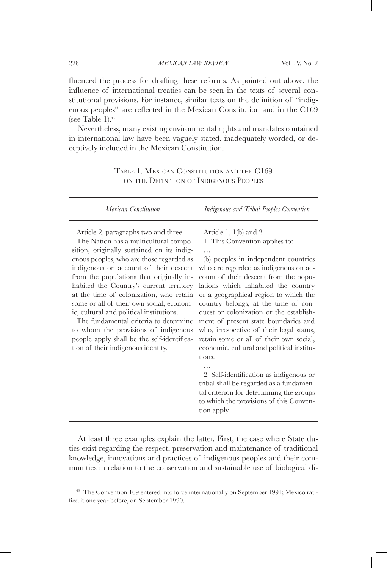fluenced the process for drafting these reforms. As pointed out above, the influence of international treaties can be seen in the texts of several constitutional provisions. For instance, similar texts on the definition of "indigenous peoples" are reflected in the Mexican Constitution and in the C169 (see Table 1). $43$ 

Nevertheless, many existing environmental rights and mandates contained in international law have been vaguely stated, inadequately worded, or deceptively included in the Mexican Constitution.

| Mexican Constitution                                                                                                                                                                                                                                                                                                                                                                                                                                                                                                                                                                                            | Indigenous and Tribal Peoples Convention                                                                                                                                                                                                                                                                                                                                                                                                                                                                                                                                                                                                                                                                                                             |
|-----------------------------------------------------------------------------------------------------------------------------------------------------------------------------------------------------------------------------------------------------------------------------------------------------------------------------------------------------------------------------------------------------------------------------------------------------------------------------------------------------------------------------------------------------------------------------------------------------------------|------------------------------------------------------------------------------------------------------------------------------------------------------------------------------------------------------------------------------------------------------------------------------------------------------------------------------------------------------------------------------------------------------------------------------------------------------------------------------------------------------------------------------------------------------------------------------------------------------------------------------------------------------------------------------------------------------------------------------------------------------|
| Article 2, paragraphs two and three<br>The Nation has a multicultural compo-<br>sition, originally sustained on its indig-<br>enous peoples, who are those regarded as<br>indigenous on account of their descent<br>from the populations that originally in-<br>habited the Country's current territory<br>at the time of colonization, who retain<br>some or all of their own social, econom-<br>ic, cultural and political institutions.<br>The fundamental criteria to determine<br>to whom the provisions of indigenous<br>people apply shall be the self-identifica-<br>tion of their indigenous identity. | Article 1, $1(b)$ and 2<br>1. This Convention applies to:<br>$\cdots$<br>(b) peoples in independent countries<br>who are regarded as indigenous on ac-<br>count of their descent from the popu-<br>lations which inhabited the country<br>or a geographical region to which the<br>country belongs, at the time of con-<br>quest or colonization or the establish-<br>ment of present state boundaries and<br>who, irrespective of their legal status,<br>retain some or all of their own social,<br>economic, cultural and political institu-<br>tions.<br>2. Self-identification as indigenous or<br>tribal shall be regarded as a fundamen-<br>tal criterion for determining the groups<br>to which the provisions of this Conven-<br>tion apply. |

## Table 1. Mexican Constitution and the C169 on the Definition of Indigenous Peoples

At least three examples explain the latter. First, the case where State duties exist regarding the respect, preservation and maintenance of traditional knowledge, innovations and practices of indigenous peoples and their communities in relation to the conservation and sustainable use of biological di-

<sup>&</sup>lt;sup>43</sup> The Convention 169 entered into force internationally on September 1991; Mexico ratified it one year before, on September 1990.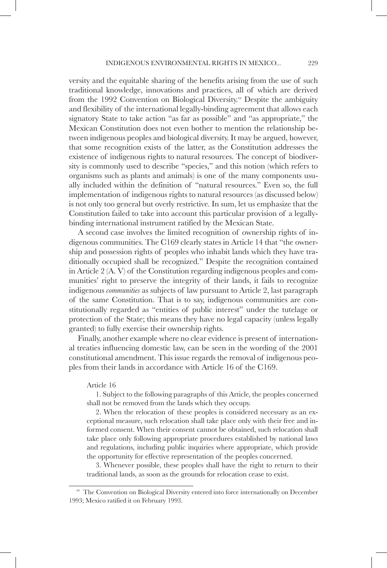versity and the equitable sharing of the benefits arising from the use of such traditional knowledge, innovations and practices, all of which are derived from the 1992 Convention on Biological Diversity.<sup>44</sup> Despite the ambiguity and flexibility of the international legally-binding agreement that allows each signatory State to take action "as far as possible" and "as appropriate," the Mexican Constitution does not even bother to mention the relationship between indigenous peoples and biological diversity. It may be argued, however, that some recognition exists of the latter, as the Constitution addresses the existence of indigenous rights to natural resources. The concept of biodiversity is commonly used to describe "species," and this notion (which refers to organisms such as plants and animals) is one of the many components usually included within the definition of "natural resources." Even so, the full implementation of indigenous rights to natural resources (as discussed below) is not only too general but overly restrictive. In sum, let us emphasize that the Constitution failed to take into account this particular provision of a legallybinding international instrument ratified by the Mexican State.

A second case involves the limited recognition of ownership rights of indigenous communities. The C169 clearly states in Article 14 that "the ownership and possession rights of peoples who inhabit lands which they have traditionally occupied shall be recognized." Despite the recognition contained in Article 2 (A. V) of the Constitution regarding indigenous peoples and communities' right to preserve the integrity of their lands, it fails to recognize indigenous *communities* as subjects of law pursuant to Article 2, last paragraph of the same Constitution. That is to say, indigenous communities are constitutionally regarded as "entities of public interest" under the tutelage or protection of the State; this means they have no legal capacity (unless legally granted) to fully exercise their ownership rights.

Finally, another example where no clear evidence is present of international treaties influencing domestic law, can be seen in the wording of the 2001 constitutional amendment. This issue regards the removal of indigenous peoples from their lands in accordance with Article 16 of the C169.

### Article 16

1. Subject to the following paragraphs of this Article, the peoples concerned shall not be removed from the lands which they occupy.

2. When the relocation of these peoples is considered necessary as an exceptional measure, such relocation shall take place only with their free and informed consent. When their consent cannot be obtained, such relocation shall take place only following appropriate procedures established by national laws and regulations, including public inquiries where appropriate, which provide the opportunity for effective representation of the peoples concerned.

3. Whenever possible, these peoples shall have the right to return to their traditional lands, as soon as the grounds for relocation cease to exist.

<sup>44</sup> The Convention on Biological Diversity entered into force internationally on December 1993; Mexico ratified it on February 1993.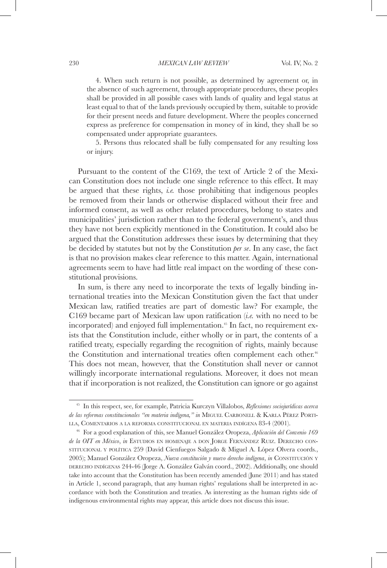4. When such return is not possible, as determined by agreement or, in the absence of such agreement, through appropriate procedures, these peoples shall be provided in all possible cases with lands of quality and legal status at least equal to that of the lands previously occupied by them, suitable to provide for their present needs and future development. Where the peoples concerned express as preference for compensation in money of in kind, they shall be so compensated under appropriate guarantees.

5. Persons thus relocated shall be fully compensated for any resulting loss or injury.

Pursuant to the content of the C169, the text of Article 2 of the Mexican Constitution does not include one single reference to this effect. It may be argued that these rights, *i.e.* those prohibiting that indigenous peoples be removed from their lands or otherwise displaced without their free and informed consent, as well as other related procedures, belong to states and municipalities' jurisdiction rather than to the federal government's, and thus they have not been explicitly mentioned in the Constitution. It could also be argued that the Constitution addresses these issues by determining that they be decided by statutes but not by the Constitution *per se*. In any case, the fact is that no provision makes clear reference to this matter. Again, international agreements seem to have had little real impact on the wording of these constitutional provisions.

In sum, is there any need to incorporate the texts of legally binding international treaties into the Mexican Constitution given the fact that under Mexican law, ratified treaties are part of domestic law? For example, the C169 became part of Mexican law upon ratification (*i.e.* with no need to be incorporated) and enjoyed full implementation.<sup>45</sup> In fact, no requirement exists that the Constitution include, either wholly or in part, the contents of a ratified treaty, especially regarding the recognition of rights, mainly because the Constitution and international treaties often complement each other.<sup>46</sup> This does not mean, however, that the Constitution shall never or cannot willingly incorporate international regulations. Moreover, it does not mean that if incorporation is not realized, the Constitution can ignore or go against

<sup>45</sup> In this respect, see, for example, Patricia Kurczyn Villalobos, *Reflexiones sociojurídicas acerca de las reformas constitucionales "en materia indígena," in MIGUEL CARBONELL & KARLA PÉREZ PORTI*lla, Comentarios a la reforma constitucional en materia indígena 83-4 (2001).

<sup>46</sup> For a good explanation of this, see Manuel González Oropeza, *Aplicación del Convenio 169 de la OIT en México*, *in* Estudios en homenaje a don Jorge Fernández Ruiz. Derecho constrtucional y política 259 (David Cienfuegos Salgado & Miguel A. López Olvera coords., 2005); Manuel González Oropeza, *Nueva constitución y nuevo derecho indígena*, *in* Constitución y DERECHO INDÍGENAS 244-46 (Jorge A. González Galván coord., 2002). Additionally, one should take into account that the Constitution has been recently amended (June 2011) and has stated in Article 1, second paragraph, that any human rights' regulations shall be interpreted in accordance with both the Constitution and treaties. As interesting as the human rights side of indigenous environmental rights may appear, this article does not discuss this issue.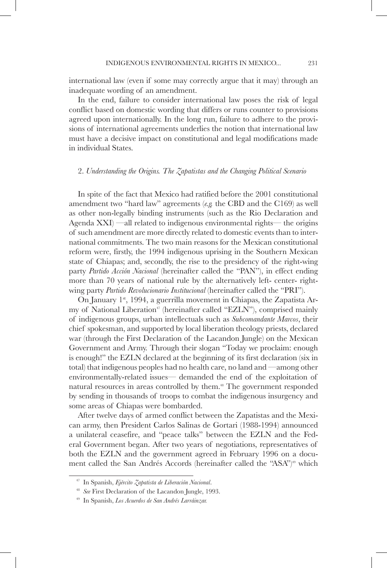international law (even if some may correctly argue that it may) through an inadequate wording of an amendment.

In the end, failure to consider international law poses the risk of legal conflict based on domestic wording that differs or runs counter to provisions agreed upon internationally. In the long run, failure to adhere to the provisions of international agreements underlies the notion that international law must have a decisive impact on constitutional and legal modifications made in individual States.

### 2. *Understanding the Origins. The Zapatistas and the Changing Political Scenario*

In spite of the fact that Mexico had ratified before the 2001 constitutional amendment two "hard law" agreements (*e.g.* the CBD and the C169) as well as other non-legally binding instruments (such as the Rio Declaration and Agenda XXI) —all related to indigenous environmental rights— the origins of such amendment are more directly related to domestic events than to international commitments. The two main reasons for the Mexican constitutional reform were, firstly, the 1994 indigenous uprising in the Southern Mexican state of Chiapas; and, secondly, the rise to the presidency of the right-wing party *Partido Acción Nacional* (hereinafter called the "PAN"), in effect ending more than 70 years of national rule by the alternatively left- center- rightwing party *Partido Revolucionario Institucional* (hereinafter called the "PRI").

On January 1<sup>st</sup>, 1994, a guerrilla movement in Chiapas, the Zapatista Army of National Liberation<sup> $\pi$ </sup> (hereinafter called "EZLN"), comprised mainly of indigenous groups, urban intellectuals such as *Subcomandante Marcos*, their chief spokesman, and supported by local liberation theology priests, declared war (through the First Declaration of the Lacandon Jungle) on the Mexican Government and Army. Through their slogan "Today we proclaim: enough is enough!" the EZLN declared at the beginning of its first declaration (six in total) that indigenous peoples had no health care, no land and —among other environmentally-related issues— demanded the end of the exploitation of natural resources in areas controlled by them.<sup>48</sup> The government responded by sending in thousands of troops to combat the indigenous insurgency and some areas of Chiapas were bombarded.

After twelve days of armed conflict between the Zapatistas and the Mexican army, then President Carlos Salinas de Gortari (1988-1994) announced a unilateral ceasefire, and "peace talks" between the EZLN and the Federal Government began. After two years of negotiations, representatives of both the EZLN and the government agreed in February 1996 on a document called the San Andrés Accords (hereinafter called the "ASA")<sup>49</sup> which

<sup>47</sup> In Spanish, *Ejército Zapatista de Liberación Nacional*.

<sup>48</sup> *See* First Declaration of the Lacandon Jungle, 1993.

<sup>49</sup> In Spanish, *Los Acuerdos de San Andrés Larráinzar.*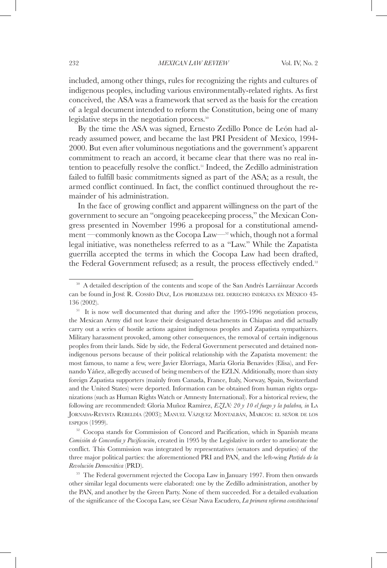included, among other things, rules for recognizing the rights and cultures of indigenous peoples, including various environmentally-related rights. As first conceived, the ASA was a framework that served as the basis for the creation of a legal document intended to reform the Constitution, being one of many legislative steps in the negotiation process.<sup>50</sup>

By the time the ASA was signed, Ernesto Zedillo Ponce de León had already assumed power, and became the last PRI President of Mexico, 1994- 2000. But even after voluminous negotiations and the government's apparent commitment to reach an accord, it became clear that there was no real intention to peacefully resolve the conflict.51 Indeed, the Zedillo administration failed to fulfill basic commitments signed as part of the ASA; as a result, the armed conflict continued. In fact, the conflict continued throughout the remainder of his administration.

In the face of growing conflict and apparent willingness on the part of the government to secure an "ongoing peacekeeping process," the Mexican Congress presented in November 1996 a proposal for a constitutional amendment —commonly known as the Cocopa Law—52 which, though not a formal legal initiative, was nonetheless referred to as a "Law." While the Zapatista guerrilla accepted the terms in which the Cocopa Law had been drafted, the Federal Government refused; as a result, the process effectively ended.<sup>53</sup>

*Comisión de Concordia y Pacificación*, created in 1995 by the Legislative in order to ameliorate the conflict. This Commission was integrated by representatives (senators and deputies) of the three major political parties: the aforementioned PRI and PAN, and the left-wing *Partido de la Revolución Democrática* (PRD). 53 The Federal government rejected the Cocopa Law in January 1997. From then onwards

other similar legal documents were elaborated: one by the Zedillo administration, another by the PAN, and another by the Green Party. None of them succeeded. For a detailed evaluation of the significance of the Cocopa Law, see César Nava Escudero, *La primera reforma constitucional* 

<sup>&</sup>lt;sup>50</sup> A detailed description of the contents and scope of the San Andrés Larráinzar Accords can be found in José R. Cossío Díaz, Los problemas del derecho indígena en México 43- 136 (2002).

<sup>&</sup>lt;sup>51</sup> It is now well documented that during and after the 1995-1996 negotiation process, the Mexican Army did not leave their designated detachments in Chiapas and did actually carry out a series of hostile actions against indigenous peoples and Zapatista sympathizers. Military harassment provoked, among other consequences, the removal of certain indigenous peoples from their lands. Side by side, the Federal Government persecuted and detained nonindigenous persons because of their political relationship with the Zapatista movement: the most famous, to name a few, were Javier Elorriaga, María Gloria Benavides (Elisa), and Fernando Yáñez, allegedly accused of being members of the EZLN. Additionally, more than sixty foreign Zapatista supporters (mainly from Canada, France, Italy, Norway, Spain, Switzerland and the United States) were deported. Information can be obtained from human rights organizations (such as Human Rights Watch or Amnesty International). For a historical review, the following are recommended: Gloria Muñoz Ramírez, *EZLN: 20 y 10 el fuego y la palabra, in* La Jornada-Revista Rebeldía (2003); Manuel Vázquez Montalbán, Marcos: el señor de los  $ESE(G)$  (1999).<br><sup>52</sup> Cocopa stands for Commission of Concord and Pacification, which in Spanish means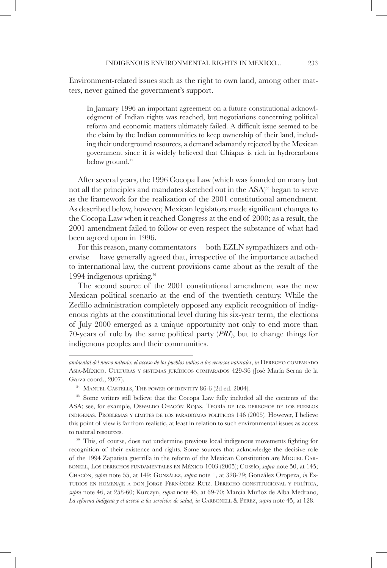Environment-related issues such as the right to own land, among other matters, never gained the government's support.

In January 1996 an important agreement on a future constitutional acknowledgment of Indian rights was reached, but negotiations concerning political reform and economic matters ultimately failed. A difficult issue seemed to be the claim by the Indian communities to keep ownership of their land, including their underground resources, a demand adamantly rejected by the Mexican government since it is widely believed that Chiapas is rich in hydrocarbons below ground.<sup>54</sup>

After several years, the 1996 Cocopa Law (which was founded on many but not all the principles and mandates sketched out in the ASA)<sup>55</sup> began to serve as the framework for the realization of the 2001 constitutional amendment. As described below, however, Mexican legislators made significant changes to the Cocopa Law when it reached Congress at the end of 2000; as a result, the 2001 amendment failed to follow or even respect the substance of what had been agreed upon in 1996.

For this reason, many commentators —both EZLN sympathizers and otherwise— have generally agreed that, irrespective of the importance attached to international law, the current provisions came about as the result of the 1994 indigenous uprising.56

The second source of the 2001 constitutional amendment was the new Mexican political scenario at the end of the twentieth century. While the Zedillo administration completely opposed any explicit recognition of indigenous rights at the constitutional level during his six-year term, the elections of July 2000 emerged as a unique opportunity not only to end more than 70-years of rule by the same political party (*PRI*), but to change things for indigenous peoples and their communities.

<sup>56</sup> This, of course, does not undermine previous local indigenous movements fighting for recognition of their existence and rights. Some sources that acknowledge the decisive role of the 1994 Zapatista guerrilla in the reform of the Mexican Constitution are Miguel Carbonell, Los derechos fundamentales en México 1003 (2005); Cossío, *supra* note 50, at 145; Chacón, *supra* note 55, at 149; González, *supra* note 1, at 328-29; González Oropeza, *in* Estudios en homenaje a don Jorge Fernández Ruiz. Derecho constitucional y política, *supra* note 46, at 258-60; Kurczyn, *supra* note 45, at 69-70; Marcia Muñoz de Alba Medrano, La reforma indígena y el acceso a los servicios de salud, in CARBONELL & PÉREZ, supra note 45, at 128.

*ambiental del nuevo milenio: el acceso de los pueblos indios a los recursos naturales, in* DERECHO COMPARADO Asia-México. Culturas <sup>y</sup> sistemas jurídicos comparados 429-36 (José María Serna de la Garza coord., 2007). 54 MANUEL CASTELLS, THE POWER OF IDENTITY 86-6 (2d ed. 2004).

<sup>&</sup>lt;sup>55</sup> Some writers still believe that the Cocopa Law fully included all the contents of the ASA; see, for example, Oswaldo Chacón Rojas, Teoría de los derechos de los pueblos indígenas. Problemas y límites de los paradigmas políticos 146 (2005)*.* However, I believe this point of view is far from realistic, at least in relation to such environmental issues as access to natural resources.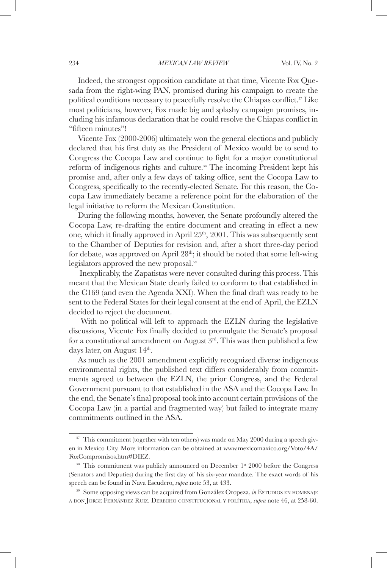Indeed, the strongest opposition candidate at that time, Vicente Fox Quesada from the right-wing PAN, promised during his campaign to create the political conditions necessary to peacefully resolve the Chiapas conflict.<sup>57</sup> Like most politicians, however, Fox made big and splashy campaign promises, including his infamous declaration that he could resolve the Chiapas conflict in "fifteen minutes"!

Vicente Fox (2000-2006) ultimately won the general elections and publicly declared that his first duty as the President of Mexico would be to send to Congress the Cocopa Law and continue to fight for a major constitutional reform of indigenous rights and culture.<sup>58</sup> The incoming President kept his promise and, after only a few days of taking office, sent the Cocopa Law to Congress, specifically to the recently-elected Senate. For this reason, the Cocopa Law immediately became a reference point for the elaboration of the legal initiative to reform the Mexican Constitution.

During the following months, however, the Senate profoundly altered the Cocopa Law, re-drafting the entire document and creating in effect a new one, which it finally approved in April 25<sup>th</sup>, 2001. This was subsequently sent to the Chamber of Deputies for revision and, after a short three-day period for debate, was approved on April  $28<sup>th</sup>$ ; it should be noted that some left-wing legislators approved the new proposal.59

 Inexplicably, the Zapatistas were never consulted during this process. This meant that the Mexican State clearly failed to conform to that established in the C169 (and even the Agenda XXI). When the final draft was ready to be sent to the Federal States for their legal consent at the end of April, the EZLN decided to reject the document.

 With no political will left to approach the EZLN during the legislative discussions, Vicente Fox finally decided to promulgate the Senate's proposal for a constitutional amendment on August  $3<sup>rd</sup>$ . This was then published a few days later, on August 14<sup>th</sup>.

As much as the 2001 amendment explicitly recognized diverse indigenous environmental rights, the published text differs considerably from commitments agreed to between the EZLN, the prior Congress, and the Federal Government pursuant to that established in the ASA and the Cocopa Law. In the end, the Senate's final proposal took into account certain provisions of the Cocopa Law (in a partial and fragmented way) but failed to integrate many commitments outlined in the ASA.

 $57$  This commitment (together with ten others) was made on May 2000 during a speech given in Mexico City. More information can be obtained at www.mexicomaxico.org/Voto/4A/ FoxCompromisos.htm#DIEZ.<br><sup>58</sup> This commitment was publicly announced on December 1<sup>st</sup> 2000 before the Congress

<sup>(</sup>Senators and Deputies) during the first day of his six-year mandate. The exact words of his speech can be found in Nava Escudero, *supra* note 53, at 433.<br><sup>59</sup> Some opposing views can be acquired from González Oropeza, *in* Estudios en homenaje

a don Jorge Fernández Ruiz. Derecho constitucional y política, *supra* note 46, at 258-60.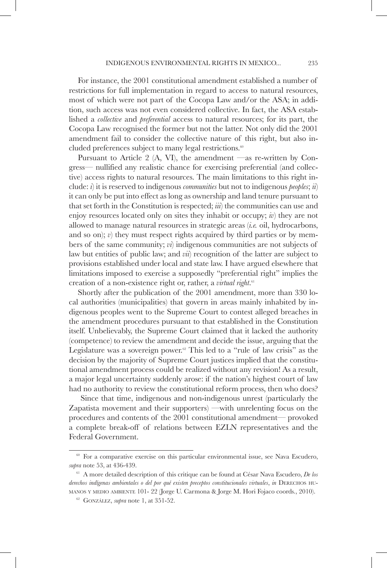For instance, the 2001 constitutional amendment established a number of restrictions for full implementation in regard to access to natural resources, most of which were not part of the Cocopa Law and/or the ASA; in addition, such access was not even considered collective. In fact, the ASA established a *collective* and *preferential* access to natural resources; for its part, the Cocopa Law recognised the former but not the latter. Not only did the 2001 amendment fail to consider the collective nature of this right, but also included preferences subject to many legal restrictions.<sup>60</sup>

Pursuant to Article 2 (A, VI), the amendment —as re-written by Congress— nullified any realistic chance for exercising preferential (and collective) access rights to natural resources. The main limitations to this right include: *i*) it is reserved to indigenous *communities* but not to indigenous *peoples*; *ii*) it can only be put into effect as long as ownership and land tenure pursuant to that set forth in the Constitution is respected; *iii*) the communities can use and enjoy resources located only on sites they inhabit or occupy; *iv*) they are not allowed to manage natural resources in strategic areas (*i.e.* oil, hydrocarbons, and so on); *v*) they must respect rights acquired by third parties or by members of the same community; *vi*) indigenous communities are not subjects of law but entities of public law; and *vii*) recognition of the latter are subject to provisions established under local and state law. I have argued elsewhere that limitations imposed to exercise a supposedly "preferential right" implies the creation of a non-existence right or, rather, a *virtual right*. 61

Shortly after the publication of the 2001 amendment, more than 330 local authorities (municipalities) that govern in areas mainly inhabited by indigenous peoples went to the Supreme Court to contest alleged breaches in the amendment procedures pursuant to that established in the Constitution itself. Unbelievably, the Supreme Court claimed that it lacked the authority (competence) to review the amendment and decide the issue, arguing that the Legislature was a sovereign power.<sup>62</sup> This led to a "rule of law crisis" as the decision by the majority of Supreme Court justices implied that the constitutional amendment process could be realized without any revision! As a result, a major legal uncertainty suddenly arose: if the nation's highest court of law had no authority to review the constitutional reform process, then who does?

 Since that time, indigenous and non-indigenous unrest (particularly the Zapatista movement and their supporters) —with unrelenting focus on the procedures and contents of the 2001 constitutional amendment— provoked a complete break-off of relations between EZLN representatives and the Federal Government.

<sup>&</sup>lt;sup>60</sup> For a comparative exercise on this particular environmental issue, see Nava Escudero, *supra* note 53, at 436-439.

<sup>61</sup> A more detailed description of this critique can be found at César Nava Escudero, *De los derechos indígenas ambientales o del por qué existen preceptos constitucionales virtuales*, *in* Derechos humanos y medio ambiente 101- 22 (Jorge U. Carmona & Jorge M. Hori Fojaco coords., 2010).

<sup>62</sup> González, *supra* note 1, at 351-52.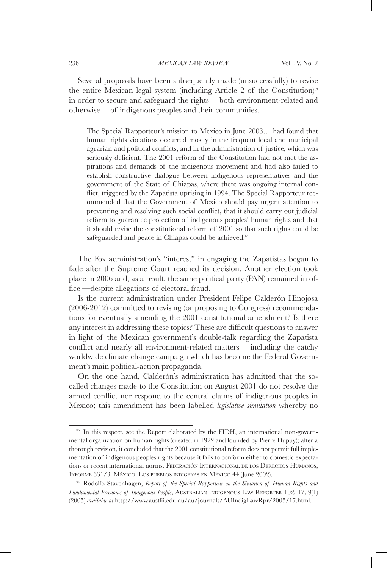### 236 *MEXICAN LAW REVIEW* Vol. IV, No. 2

Several proposals have been subsequently made (unsuccessfully) to revise the entire Mexican legal system (including Article 2 of the Constitution)<sup>63</sup> in order to secure and safeguard the rights —both environment-related and otherwise— of indigenous peoples and their communities.

The Special Rapporteur's mission to Mexico in June 2003… had found that human rights violations occurred mostly in the frequent local and municipal agrarian and political conflicts, and in the administration of justice, which was seriously deficient. The 2001 reform of the Constitution had not met the aspirations and demands of the indigenous movement and had also failed to establish constructive dialogue between indigenous representatives and the government of the State of Chiapas, where there was ongoing internal conflict, triggered by the Zapatista uprising in 1994. The Special Rapporteur recommended that the Government of Mexico should pay urgent attention to preventing and resolving such social conflict, that it should carry out judicial reform to guarantee protection of indigenous peoples' human rights and that it should revise the constitutional reform of 2001 so that such rights could be safeguarded and peace in Chiapas could be achieved.<sup>64</sup>

The Fox administration's "interest" in engaging the Zapatistas began to fade after the Supreme Court reached its decision. Another election took place in 2006 and, as a result, the same political party (PAN) remained in office —despite allegations of electoral fraud.

Is the current administration under President Felipe Calderón Hinojosa (2006-2012) committed to revising (or proposing to Congress) recommendations for eventually amending the 2001 constitutional amendment? Is there any interest in addressing these topics? These are difficult questions to answer in light of the Mexican government's double-talk regarding the Zapatista conflict and nearly all environment-related matters —including the catchy worldwide climate change campaign which has become the Federal Government's main political-action propaganda.

On the one hand, Calderón's administration has admitted that the socalled changes made to the Constitution on August 2001 do not resolve the armed conflict nor respond to the central claims of indigenous peoples in Mexico; this amendment has been labelled *legislative simulation* whereby no

<sup>&</sup>lt;sup>63</sup> In this respect, see the Report elaborated by the FIDH, an international non-governmental organization on human rights (created in 1922 and founded by Pierre Dupuy); after a thorough revision, it concluded that the 2001 constitutional reform does not permit full implementation of indigenous peoples rights because it fails to conform either to domestic expectations or recent international norms. FEDERACIÓN INTERNACIONAL DE LOS DERECHOS HUMANOS, Informe 331/3. México. Los pueblos indígenas en México 44 (June 2002).

<sup>64</sup> Rodolfo Stavenhagen, *Report of the Special Rapporteur on the Situation of Human Rights and Fundamental Freedoms of Indigenous People*, Australian Indigenous Law Reporter 102*,* 17, 9(1) (2005) *available at* http://www.austlii.edu.au/au/journals/AUIndigLawRpr/2005/17.html.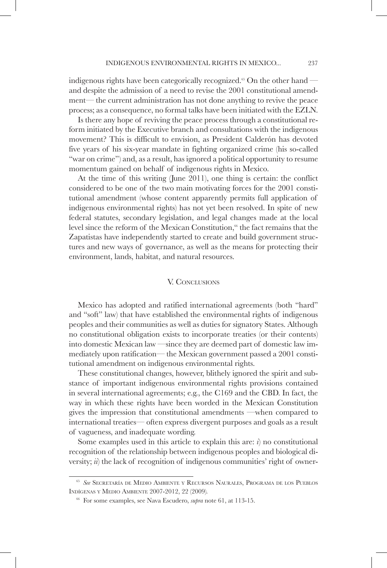indigenous rights have been categorically recognized.<sup>65</sup> On the other hand and despite the admission of a need to revise the 2001 constitutional amendment— the current administration has not done anything to revive the peace process; as a consequence, no formal talks have been initiated with the EZLN.

Is there any hope of reviving the peace process through a constitutional reform initiated by the Executive branch and consultations with the indigenous movement? This is difficult to envision, as President Calderón has devoted five years of his six-year mandate in fighting organized crime (his so-called "war on crime") and, as a result, has ignored a political opportunity to resume momentum gained on behalf of indigenous rights in Mexico.

At the time of this writing (June 2011), one thing is certain: the conflict considered to be one of the two main motivating forces for the 2001 constitutional amendment (whose content apparently permits full application of indigenous environmental rights) has not yet been resolved. In spite of new federal statutes, secondary legislation, and legal changes made at the local level since the reform of the Mexican Constitution,<sup>66</sup> the fact remains that the Zapatistas have independently started to create and build government structures and new ways of governance, as well as the means for protecting their environment, lands, habitat, and natural resources.

### V. CONCLUSIONS

Mexico has adopted and ratified international agreements (both "hard" and "soft" law) that have established the environmental rights of indigenous peoples and their communities as well as duties for signatory States. Although no constitutional obligation exists to incorporate treaties (or their contents) into domestic Mexican law —since they are deemed part of domestic law immediately upon ratification— the Mexican government passed a 2001 constitutional amendment on indigenous environmental rights.

These constitutional changes, however, blithely ignored the spirit and substance of important indigenous environmental rights provisions contained in several international agreements; e.g., the C169 and the CBD. In fact, the way in which these rights have been worded in the Mexican Constitution gives the impression that constitutional amendments —when compared to international treaties— often express divergent purposes and goals as a result of vagueness, and inadequate wording.

Some examples used in this article to explain this are: *i*) no constitutional recognition of the relationship between indigenous peoples and biological diversity; *ii*) the lack of recognition of indigenous communities' right of owner-

<sup>65</sup> *See* Secretaría de Medio Ambiente <sup>y</sup> Recursos Naurales, Programa de los Pueblos Indígenas y Medio Ambiente 2007-2012, 22 (2009)*.*

<sup>66</sup> For some examples, see Nava Escudero, *supra* note 61, at 113-15.